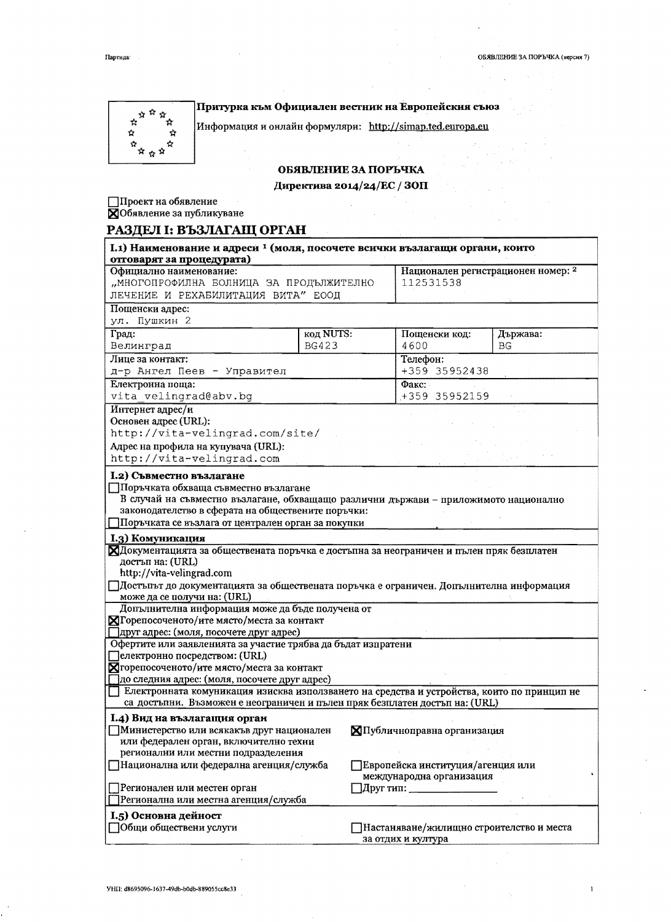Партида:

 $A^{\frac{1}{N} \cdot \frac{1}{N}}$  $\dot{\Omega}$ ò

 $\begin{array}{c} \vec{\Omega} \\ \vec{M} \\ \vec{M} \end{array} \vec{\Omega}$ 

 $\dot{\mathbf{R}}$ 

Притурка към Официален вестник на Европейския съюз

Информация и онлайн формуляри: http://simap.ted.europa.eu

## ОБЯВЛЕНИЕ ЗА ПОРЪЧКА

Директива 2014/24/ЕС / ЗОП

 $\dot{\mathbf{x}}$ 

☆

 $\fbox{Theorem~H}$ на обявление $\fbox{Theorem~H}$ 

# РАЗДЕЛ І: ВЪЗЛАГАЩ ОРГАН

| I.1) Наименование и адреси <sup>1</sup> (моля, посочете всички възлагащи органи, които<br>отговарят за процедурата)                                                                                                                                                                                                                                                                                                                                                                                                                                                                                                                                                                                                                                                                                                                                 |              |                                                                                                       |          |  |
|-----------------------------------------------------------------------------------------------------------------------------------------------------------------------------------------------------------------------------------------------------------------------------------------------------------------------------------------------------------------------------------------------------------------------------------------------------------------------------------------------------------------------------------------------------------------------------------------------------------------------------------------------------------------------------------------------------------------------------------------------------------------------------------------------------------------------------------------------------|--------------|-------------------------------------------------------------------------------------------------------|----------|--|
| Официално наименование:                                                                                                                                                                                                                                                                                                                                                                                                                                                                                                                                                                                                                                                                                                                                                                                                                             |              | Национален регистрационен номер: 2                                                                    |          |  |
| "МНОГОПРОФИЛНА БОЛНИЦА ЗА ПРОДЪЛЖИТЕЛНО                                                                                                                                                                                                                                                                                                                                                                                                                                                                                                                                                                                                                                                                                                                                                                                                             |              | 112531538                                                                                             |          |  |
| ЛЕЧЕНИЕ И РЕХАБИЛИТАЦИЯ ВИТА" ЕООД                                                                                                                                                                                                                                                                                                                                                                                                                                                                                                                                                                                                                                                                                                                                                                                                                  |              |                                                                                                       |          |  |
| Пощенски адрес:                                                                                                                                                                                                                                                                                                                                                                                                                                                                                                                                                                                                                                                                                                                                                                                                                                     |              |                                                                                                       |          |  |
| ул. Пушкин 2                                                                                                                                                                                                                                                                                                                                                                                                                                                                                                                                                                                                                                                                                                                                                                                                                                        |              |                                                                                                       |          |  |
| Град:                                                                                                                                                                                                                                                                                                                                                                                                                                                                                                                                                                                                                                                                                                                                                                                                                                               | код NUTS:    | Пощенски код:                                                                                         | Държава: |  |
| Велинград                                                                                                                                                                                                                                                                                                                                                                                                                                                                                                                                                                                                                                                                                                                                                                                                                                           | <b>BG423</b> | 4600                                                                                                  | BG       |  |
| Лице за контакт:                                                                                                                                                                                                                                                                                                                                                                                                                                                                                                                                                                                                                                                                                                                                                                                                                                    |              | Телефон:                                                                                              |          |  |
| д-р Ангел Пеев - Управител                                                                                                                                                                                                                                                                                                                                                                                                                                                                                                                                                                                                                                                                                                                                                                                                                          |              | +359 35952438                                                                                         |          |  |
| Електронна поща:                                                                                                                                                                                                                                                                                                                                                                                                                                                                                                                                                                                                                                                                                                                                                                                                                                    |              | $\Phi$ акс:                                                                                           |          |  |
| vita velingrad@abv.bg                                                                                                                                                                                                                                                                                                                                                                                                                                                                                                                                                                                                                                                                                                                                                                                                                               |              | +359 35952159                                                                                         |          |  |
| Интернет адрес/и                                                                                                                                                                                                                                                                                                                                                                                                                                                                                                                                                                                                                                                                                                                                                                                                                                    |              |                                                                                                       |          |  |
| Основен адрес (URL):<br>http://vita-velingrad.com/site/                                                                                                                                                                                                                                                                                                                                                                                                                                                                                                                                                                                                                                                                                                                                                                                             |              |                                                                                                       |          |  |
|                                                                                                                                                                                                                                                                                                                                                                                                                                                                                                                                                                                                                                                                                                                                                                                                                                                     |              |                                                                                                       |          |  |
| Адрес на профила на купувача (URL):<br>http://vita-velingrad.com                                                                                                                                                                                                                                                                                                                                                                                                                                                                                                                                                                                                                                                                                                                                                                                    |              |                                                                                                       |          |  |
| I.2) Съвместно възлагане                                                                                                                                                                                                                                                                                                                                                                                                                                                                                                                                                                                                                                                                                                                                                                                                                            |              |                                                                                                       |          |  |
| В случай на съвместно възлагане, обхващащо различни държави - приложимото национално<br>законодателство в сферата на обществените поръчки:<br>Поръчката се възлага от централен орган за покупки<br><b>I.3) Комуникация</b><br>ХДокументацията за обществената поръчка е достъпна за неограничен и пълен пряк безплатен<br>достъп на: (URL)<br>http://vita-velingrad.com<br>Плостытьт до документацията за обществената поръчка е ограничен. Допълнителна информация<br>може да се получи на: (URL)<br>Допълнителна информация може да бъде получена от<br>ХГорепосоченото/ите място/места за контакт<br>Пдруг адрес: (моля, посочете друг адрес)<br>Офертите или заявленията за участие трябва да бъдат изпратени<br>електронно посредством: (URL)<br>Хгорепосоченото/ите място/места за контакт<br>]до следния адрес: (моля, посочете друг адрес) |              |                                                                                                       |          |  |
| Електронната комуникация изисква използването на средства и устройства, които по принцип не                                                                                                                                                                                                                                                                                                                                                                                                                                                                                                                                                                                                                                                                                                                                                         |              |                                                                                                       |          |  |
| са достъпни. Възможен е неограничен и пълен пряк безплатен достъп на: (URL)                                                                                                                                                                                                                                                                                                                                                                                                                                                                                                                                                                                                                                                                                                                                                                         |              |                                                                                                       |          |  |
| I.4) Вид на възлагащия орган<br>Министерство или всякакъв друг национален<br>или федерален орган, включително техни<br>регионални или местни подразделения<br>]Национална или федерална агенция/служба                                                                                                                                                                                                                                                                                                                                                                                                                                                                                                                                                                                                                                              |              | <b>XII</b> убличноправна организация<br>Европейска институция/агенция или<br>международна организация |          |  |
| ]Регионален или местен орган                                                                                                                                                                                                                                                                                                                                                                                                                                                                                                                                                                                                                                                                                                                                                                                                                        |              | ]Друг тип: ___________                                                                                |          |  |
| ]Регионална или местна агенция/служба                                                                                                                                                                                                                                                                                                                                                                                                                                                                                                                                                                                                                                                                                                                                                                                                               |              |                                                                                                       |          |  |
| I.5) Основна дейност                                                                                                                                                                                                                                                                                                                                                                                                                                                                                                                                                                                                                                                                                                                                                                                                                                |              |                                                                                                       |          |  |
| Общи обществени услуги                                                                                                                                                                                                                                                                                                                                                                                                                                                                                                                                                                                                                                                                                                                                                                                                                              |              | Настаняване/жилищно строителство и места<br>за отдих и култура                                        |          |  |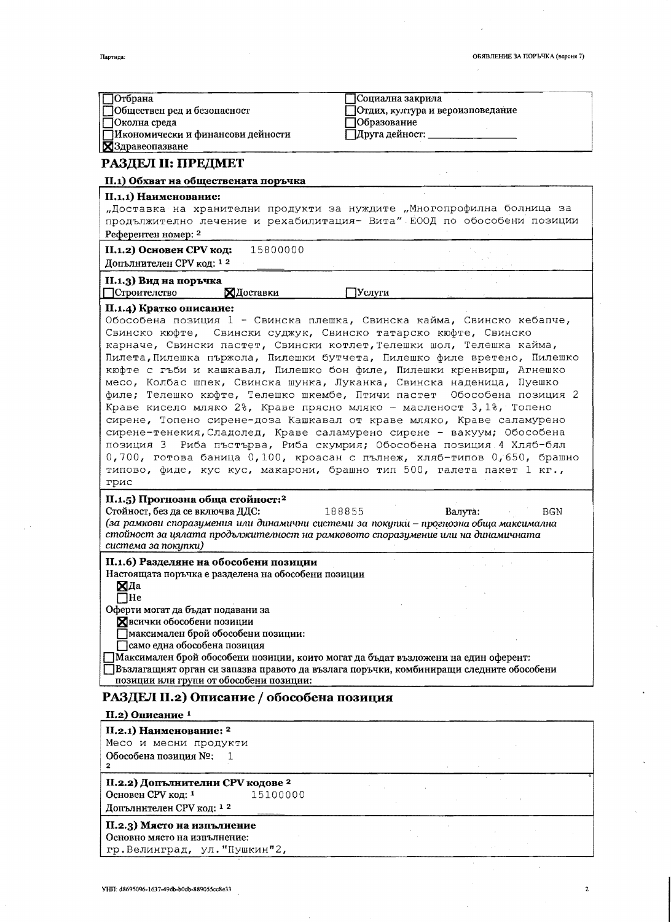$\hat{\mathcal{A}}$ 

 $\mathbf 2$ 

| ТОтбрана                                                                                 | Социална закрила                                                        |
|------------------------------------------------------------------------------------------|-------------------------------------------------------------------------|
| Обществен ред и безопасност<br>∏Околна среда                                             | Отдих, култура и вероизповедание<br>Образование                         |
| ПИкономически и финансови дейности                                                       | ]Друга дейност: ________                                                |
| <b>X</b> Здравеопазване                                                                  |                                                                         |
| РАЗДЕЛ II: ПРЕДМЕТ                                                                       |                                                                         |
| II.1) Обхват на обществената поръчка                                                     |                                                                         |
| II.1.1) Наименование:                                                                    |                                                                         |
| "Доставка на хранителни продукти за нуждите "Многопрофилна болница за                    |                                                                         |
|                                                                                          | продължително лечение и рехабилитация- Вита" ЕООД по обособени позиции  |
| Референтен номер: 2                                                                      |                                                                         |
| 15800000<br>II.1.2) Основен СРV код:                                                     |                                                                         |
| Допълнителен СРV код: 12                                                                 |                                                                         |
|                                                                                          |                                                                         |
| II.1.3) Вид на поръчка<br>ХДоставки<br>Строителство                                      | Услуги                                                                  |
|                                                                                          |                                                                         |
| П.1.4) Кратко описание:                                                                  |                                                                         |
| Обособена позиция 1 - Свинска плешка, Свинска кайма, Свинско кебапче,                    |                                                                         |
| Свинско кюфте, Свински суджук, Свинско татарско кюфте, Свинско                           |                                                                         |
| карначе, Свински пастет, Свински котлет, Телешки шол, Телешка кайма,                     |                                                                         |
|                                                                                          | Пилета, Пилешка пържола, Пилешки бутчета, Пилешко филе вретено, Пилешко |
| кюфте с гъби и кашкавал, Пилешко бон филе, Пилешки кренвирш, Агнешко                     |                                                                         |
| месо, Колбас шпек, Свинска шунка, Луканка, Свинска наденица, Пуешко                      |                                                                         |
|                                                                                          | филе; Телешко кюфте, Телешко шкембе, Птичи пастет Обособена позиция 2   |
| Краве кисело мляко 2%, Краве прясно мляко - масленост 3,1%, Топено                       |                                                                         |
|                                                                                          |                                                                         |
| сирене, Топено сирене-доза Кашкавал от краве мляко, Краве саламурено                     |                                                                         |
| сирене-тенекия, Сладолед, Краве саламурено сирене - вакуум; Обособена                    |                                                                         |
| позиция 3 Риба пъстърва, Риба скумрия; Обособена позиция 4 Хляб-бял                      |                                                                         |
|                                                                                          | 0,700, готова баница 0,100, кроасан с пълнеж, хляб-типов 0,650, брашно  |
| типово, фиде, кус кус, макарони, брашно тип 500, галета пакет 1 кг.,                     |                                                                         |
| грис                                                                                     |                                                                         |
| П.1.5) Прогнозна обща стойност: <sup>2</sup>                                             |                                                                         |
| Стойност, без да се включва ДДС:                                                         | 188855<br>Валута:<br>BGN                                                |
| (за рамкови споразумения или динамични системи за покупки - прогнозна обща максимална    |                                                                         |
| стойност за цялата продължителност на рамковото споразумение или на динамичната          |                                                                         |
| система за покупки)                                                                      |                                                                         |
| II.1.6) Разделяне на обособени позиции                                                   |                                                                         |
| Настоящата поръчка е разделена на обособени позиции                                      |                                                                         |
| ХДа                                                                                      |                                                                         |
| 7He                                                                                      |                                                                         |
| Оферти могат да бъдат подавани за                                                        |                                                                         |
| Хвсички обособени позиции                                                                |                                                                         |
| ]максимален брой обособени позиции:                                                      |                                                                         |
| ]само една обособена позиция                                                             |                                                                         |
| Максимален брой обособени позиции, които могат да бъдат възложени на един оферент:       |                                                                         |
| ]Възлагащият орган си запазва правото да възлага поръчки, комбиниращи следните обособени |                                                                         |
| позиции или групи от обособени позиции:                                                  |                                                                         |
| РАЗДЕЛ II.2) Описание / обособена позиция                                                |                                                                         |
| II.2) Описание <sup>1</sup>                                                              |                                                                         |
| II.2.1) Наименование: <sup>2</sup>                                                       |                                                                         |
| Месо и месни продукти                                                                    |                                                                         |
| Обособена позиция №:<br>1                                                                |                                                                         |
| $\mathbf{2}$                                                                             |                                                                         |
|                                                                                          |                                                                         |
|                                                                                          |                                                                         |
| II.2.2) Допълнителни СРV кодове 2                                                        |                                                                         |
| Основен СРV код: 1<br>15100000<br>Допълнителен СРV код: 12                               |                                                                         |

# II.2.3) Място на изпълнение

Основно място на изпълнение: гр. Велинград, ул. "Пушкин"2,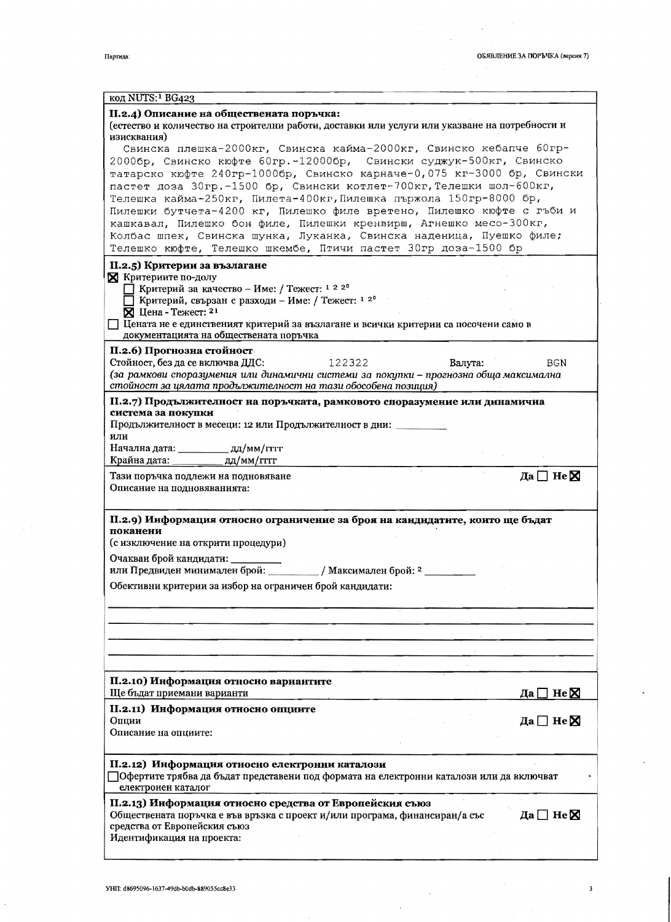$\mathbf 3$ 

 $\bar{\bar{z}}$ 

 $\hat{\mathcal{A}}$ 

 $\sim$ 

 $\sim$ 

| код NUTS: <sup>1</sup> BG423                                                                            |                          |
|---------------------------------------------------------------------------------------------------------|--------------------------|
| II.2.4) Описание на обществената поръчка:                                                               |                          |
| (естество и количество на строителни работи, доставки или услуги или указване на потребности и          |                          |
| изисквания)                                                                                             |                          |
| Свинска плешка-2000кг, Свинска кайма-2000кг, Свинско кебапче 60гр-                                      |                          |
| 2000бр, Свинско кюфте 60гр.-12000бр, Свински суджук-500кг, Свинско                                      |                          |
| татарско кюфте 240гр-1000бр, Свинско карначе-0,075 кг-3000 бр, Свински                                  |                          |
| пастет доза 30гр. - 1500 бр, Свински котлет-700кг, Телешки шол-600кг,                                   |                          |
| Телешка кайма-250кг, Пилета-400кг, Пилешка пържола 150гр-8000 бр,                                       |                          |
| Пилешки бутчета-4200 кг, Пилешко филе вретено, Пилешко кюфте с гъби и                                   |                          |
| кашкавал, Пилешко бон филе, Пилешки кренвирш, Агнешко месо-300кг,                                       |                          |
| Колбас шпек, Свинска шунка, Луканка, Свинска наденица, Пуешко филе;                                     |                          |
| Телешко кюфте, Телешко шкембе, Птичи пастет 30гр доза-1500 бр                                           |                          |
| II.2.5) Критерии за възлагане                                                                           |                          |
| <b>X</b> Критериите по-долу                                                                             |                          |
| П Критерий за качество – Име: / Тежест: 1 2 20                                                          |                          |
| П Критерий, свързан с разходи – Име: / Тежест: 1 2 <sup>0</sup>                                         |                          |
| X Цена - Тежест: 21                                                                                     |                          |
| Цената не е единственият критерий за възлагане и всички критерии са посочени само в                     |                          |
| документацията на обществената поръчка                                                                  |                          |
| П.2.6) Прогнозна стойност                                                                               |                          |
| Стойност, без да се включва ДДС:<br>122322<br>Валута:                                                   | BGN                      |
| (за рамкови споразумения или динамични системи за покупки - прогнозна обща максимална                   |                          |
| стойност за цялата продължителност на тази обособена позиция)                                           |                          |
| II.2.7) Продължителност на поръчката, рамковото споразумение или динамична                              |                          |
| система за покупки                                                                                      |                          |
| Продължителност в месеци: 12 или Продължителност в дни: ___________                                     |                          |
| или                                                                                                     |                          |
| Начална дата: _____________ дд/мм/гтгг                                                                  |                          |
| Крайна дата: дд/мм/гггг                                                                                 |                          |
| Да $\Box$ Не $\boxtimes$<br>Тази поръчка подлежи на подновяване                                         |                          |
| Описание на подновяванията:                                                                             |                          |
|                                                                                                         |                          |
| П.2.9) Информация относно ограничение за броя на кандидатите, които ще бъдат                            |                          |
| поканени                                                                                                |                          |
| (с изключение на открити процедури)                                                                     |                          |
|                                                                                                         |                          |
| Очакван брой кандидати:<br>или Предвиден минимален брой: / Максимален брой: 2 ______                    |                          |
|                                                                                                         |                          |
| Обективни критерии за избор на ограничен брой кандидати:                                                |                          |
|                                                                                                         |                          |
|                                                                                                         |                          |
|                                                                                                         |                          |
|                                                                                                         |                          |
|                                                                                                         |                          |
|                                                                                                         |                          |
| П.2.10) Информация относно вариантите                                                                   |                          |
| Ще бъдат приемани варианти<br>Да                                                                        | $\exists$ He $\boxtimes$ |
| II.2.11) Информация относно опциите                                                                     |                          |
| Опции<br>Да $\square$ Не $\square$                                                                      |                          |
| Описание на опциите:                                                                                    |                          |
|                                                                                                         |                          |
|                                                                                                         |                          |
| II.2.12) Информация относно електронни каталози                                                         |                          |
| □Офертите трябва да бъдат представени под формата на електронни каталози или да включват                |                          |
| електронен каталог                                                                                      |                          |
| II.2.13) Информация относно средства от Европейския съюз                                                |                          |
| Обществената поръчка е във връзка с проект и/или програма, финансиран/а със<br>Да $\Box$ Не $\boxtimes$ |                          |
| средства от Европейския съюз                                                                            |                          |
|                                                                                                         |                          |
| Идентификация на проекта:                                                                               |                          |
|                                                                                                         |                          |

 $\hat{\boldsymbol{\beta}}$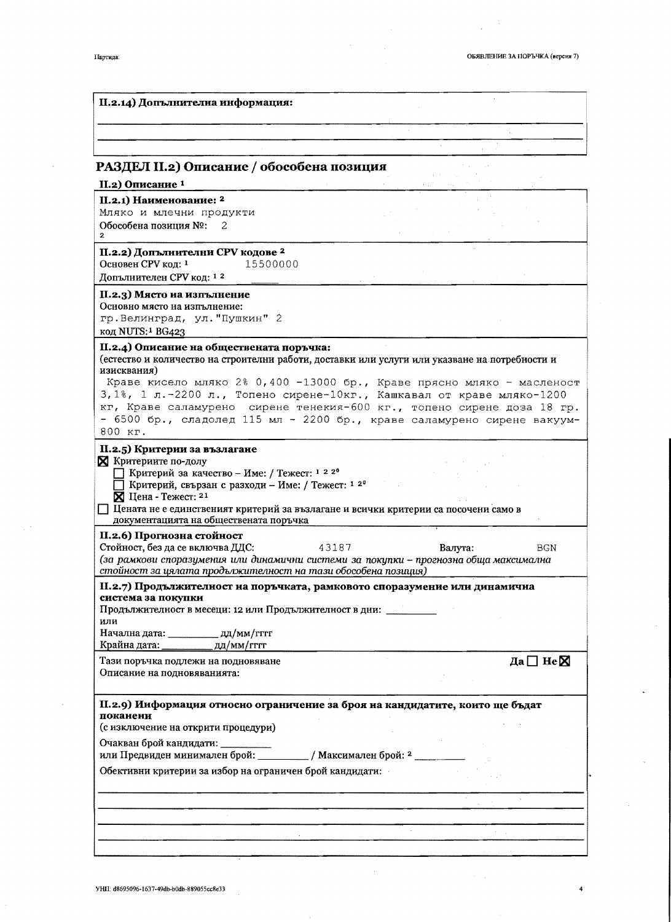Да $\Box$  Не $\boxtimes$ 

## II.2.14) Лопълнителна информация:

## РАЗДЕЛ II.2) Описание / обособена позиция

## II.2) Описание<sup>1</sup>

#### II.2.1) Наименование: <sup>2</sup>

Мляко и млечни продукти Обособена позиция №: 2  $\cdot$ 

## II.2.2) Допълнителни СРV кодове<sup>2</sup> 15500000

Основен СРV код: 1 Допълнителен СРV код: 1<sup>2</sup>

#### II.2.3) Място на изпълнение

Основно място на изпълнение: гр. Велинград, ул. "Пушкин" 2 код NUTS:<sup>1</sup> BG423

## II.2.4) Описание на обществената поръчка:

(естество и количество на строителни работи, доставки или услуги или указване на потребности и изисквания)  $28.0 \times 100$   $32000 \times$ 

| краве кисело мляко 2% 0,400 -13000 pp., Краве прясно мляко - масленост         |  |
|--------------------------------------------------------------------------------|--|
| 3, 1%, 1 л. - 2200 л., Топено сирене-10кг., Кашкавал от краве мляко-1200       |  |
| $\kappa$ г, Краве саламурено сирене тенекия-600 кг., топено сирене доза 18 гр. |  |
| - 6500 бр., сладолед 115 мл - 2200 бр., краве саламурено сирене вакуум-        |  |
| 800 кг.                                                                        |  |

## II.2.5) Критерии за възлагане

#### **X** Критериите по-долу

1 22° Критерий за качество - Име: / Тежест: 1 22°

- Критерий, свързан с разходи Име: / Тежест: 1 2°
- $\overline{\mathsf{X}}$  Цена Тежест: 21

П Цената не е единственият критерий за възлагане и всички критерии са посочени само в документацията на обществената поръчка

## II.2.6) Прогнозна стойност

Стойност, без да се включва ДДС: **BGN** 43187 Валута: (за рамкови споразумения или динамични системи за покупки - прогнозна обща максимална стойност за цялата продължителност на тази обособена позиция)

II.2.7) Продължителност на поръчката, рамковото споразумение или динамична система за покупки

Продължителност в месеци: 12 или Продължителност в дни:

#### или Начална дата: \_\_  $\mu$ д $/m$ м $/$ гггг

Крайна дата: \_ ДД/ММ/ГГГГ Тази поръчка подлежи на подновяване

Описание на подновяванията:

П.2.9) Информация относно ограничение за броя на кандидатите, които ще бъдат поканени

(с изключение на открити процедури)

Очакван брой кандидати:

или Предвиден минимален брой: \_\_ / Максимален брой: <sup>2</sup>

Обективни критерии за избор на ограничен брой кандидати: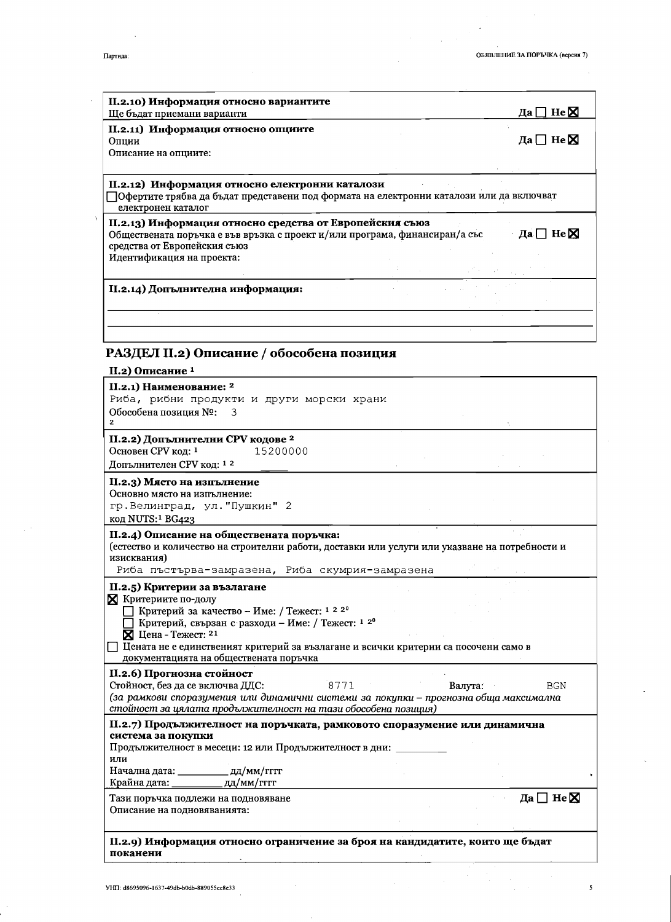$\ddot{\phantom{0}}$ 

 $\frac{1}{2}$ 

 $\overline{\mathbf{5}}$ 

| II.2.10) Информация относно вариантите<br>Ще бъдат приемани варианти                                                                                                                                                                         | ] He $\boxtimes$<br>Дa   |
|----------------------------------------------------------------------------------------------------------------------------------------------------------------------------------------------------------------------------------------------|--------------------------|
| II.2.11) Информация относно опциите<br>Опции<br>Описание на опциите:                                                                                                                                                                         | Да□Не⊠                   |
| II.2.12) Информация относно електронни каталози<br>□Офертите трябва да бъдат представени под формата на електронни каталози или да включват<br>електронен каталог                                                                            |                          |
| II.2.13) Информация относно средства от Европейския съюз<br>Обществената поръчка е във връзка с проект и/или програма, финансиран/а със<br>средства от Европейския съюз<br>Идентификация на проекта:                                         | Да $\Box$ Не $\boxtimes$ |
| II.2.14) Допълнителна информация:                                                                                                                                                                                                            |                          |
|                                                                                                                                                                                                                                              |                          |
| РАЗДЕЛ II.2) Описание / обособена позиция                                                                                                                                                                                                    |                          |
| II.2) Описание <sup>1</sup>                                                                                                                                                                                                                  |                          |
| II.2.1) Наименование: <sup>2</sup><br>Риба, рибни продукти и други морски храни<br>Обособена позиция №:<br>3<br>$\mathbf{2}$                                                                                                                 |                          |
| II.2.2) Допълнителни СРV кодове <sup>2</sup><br>Основен СРV код: 1<br>15200000<br>Допълнителен СРV код: 1 <sup>2</sup>                                                                                                                       |                          |
| II.2.3) Място на изпълнение<br>Основно място на изпълнение:<br>гр. Велинград, ул. "Пушкин" 2<br>код NUTS: <sup>1</sup> BG423                                                                                                                 |                          |
| II.2.4) Описание на обществената поръчка:<br>(естество и количество на строителни работи, доставки или услуги или указване на потребности и<br>изисквания)<br>Риба пъстърва-замразена, Риба скумрия-замразена                                |                          |
| II.2.5) Критерии за възлагане<br><b>X</b> Критериите по-долу                                                                                                                                                                                 |                          |
| Критерий за качество - Име: / Тежест: 1 2 20<br>Критерий, свързан с разходи – Име: / Тежест: 1 2 <sup>0</sup><br>$\boxtimes$ Цена - Тежест: 21<br>$\Box$ Цената не е единственият критерий за възлагане и всички критерии са посочени само в |                          |
| документацията на обществената поръчка                                                                                                                                                                                                       |                          |
| II.2.6) Прогнозна стойност<br>Стойност, без да се включва ДДС:<br>8771<br>(за рамкови споразумения или динамични системи за покупки - прогнозна обща максимална<br>стойност за цялата продължителност на тази обособена позиция)             | Валута:<br>BGN           |
| II.2.7) Продължителност на поръчката, рамковото споразумение или динамична<br>система за покупки                                                                                                                                             |                          |
| Продължителност в месеци: 12 или Продължителност в дни: ________<br>или<br>Крайна дата: ______________ дд/мм/гггг                                                                                                                            |                          |
| Тази поръчка подлежи на подновяване<br>Описание на подновяванията:                                                                                                                                                                           | Да $\Box$ Не $\boxtimes$ |
| II.2.9) Информация относно ограничение за броя на кандидатите, които ще бъдат<br>поканени                                                                                                                                                    |                          |

 $\bar{z}$ 

 $\lambda$ 

 $\hat{\boldsymbol{\beta}}$  $\sim$ 

 $\ddot{\phantom{0}}$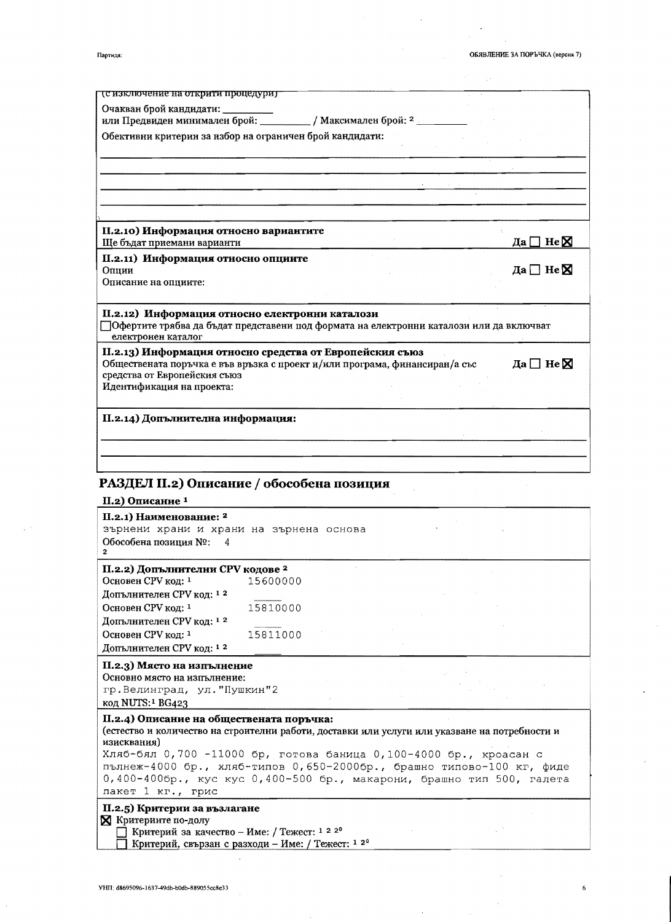÷.

 $\bar{z}$ 

 $\alpha$ 

 $\boldsymbol{6}$ 

| Партида: |  |
|----------|--|

| <u>(с изключение на открити процедури)</u>                                                                                               |                           |
|------------------------------------------------------------------------------------------------------------------------------------------|---------------------------|
| Очакван брой кандидати:                                                                                                                  |                           |
| или Предвиден минимален брой: ____________/ Максимален брой: 2 __________                                                                |                           |
| Обективни критерии за избор на ограничен брой кандидати:                                                                                 |                           |
|                                                                                                                                          |                           |
|                                                                                                                                          |                           |
| II.2.10) Информация относно вариантите<br>Ще бъдат приемани варианти                                                                     | Да $\Box$ Не $\boxtimes$  |
|                                                                                                                                          |                           |
| II.2.11) Информация относно опциите<br>Опции                                                                                             | Да $\Box$ Не $\boxtimes$  |
| Описание на опциите:                                                                                                                     |                           |
| Обществената поръчка е във връзка с проект и/или програма, финансиран/а със<br>средства от Европейския съюз<br>Идентификация на проекта: | Да $\square$ Не $\square$ |
| П.2.14) Допълнителна информация:                                                                                                         |                           |
|                                                                                                                                          |                           |
| РАЗДЕЛ II.2) Описание / обособена позиция                                                                                                |                           |
| II.2) Описание <sup>1</sup>                                                                                                              |                           |
| II.2.1) Наименование: <sup>2</sup>                                                                                                       |                           |
| зърнени храни и храни на зърнена основа                                                                                                  |                           |
| Обособена позиция №:<br>4<br>$\mathbf{2}$                                                                                                |                           |
| П.2.2) Допълнителни СРV кодове <sup>2</sup>                                                                                              |                           |
| Основен СРV код: 1<br>15600000                                                                                                           |                           |
| Допълнителен СРV код: <sup>12</sup><br>Основен СРV код: 1<br>15810000                                                                    |                           |
| $\pi_{\text{OPT}}$ $\pi_{\text{OPT}}$ $\pi_{\text{OPT}}$ $\pi_{\text{OPT}}$ $\pi_{\text{OPT}}$ 1 2                                       |                           |

| зърнени храни и храни на зърнена основа                                                                                                                                                                                                                                                                                                                                                                |          |  |  |
|--------------------------------------------------------------------------------------------------------------------------------------------------------------------------------------------------------------------------------------------------------------------------------------------------------------------------------------------------------------------------------------------------------|----------|--|--|
| Обособена позиция №: 4                                                                                                                                                                                                                                                                                                                                                                                 |          |  |  |
| П.2.2) Допълнителни СРV кодове <sup>2</sup>                                                                                                                                                                                                                                                                                                                                                            |          |  |  |
| Основен СРV код: 1                                                                                                                                                                                                                                                                                                                                                                                     | 15600000 |  |  |
| Допълнителен СРV код: 12                                                                                                                                                                                                                                                                                                                                                                               |          |  |  |
| Основен СРV код: 1                                                                                                                                                                                                                                                                                                                                                                                     | 15810000 |  |  |
| Допълнителен СРV код: 12                                                                                                                                                                                                                                                                                                                                                                               |          |  |  |
| Основен СРV код: 1                                                                                                                                                                                                                                                                                                                                                                                     | 15811000 |  |  |
| Допълнителен СРV код: 12                                                                                                                                                                                                                                                                                                                                                                               |          |  |  |
| II.2.3) Място на изпълнение<br>Основно място на изпълнение:<br>гр. Велинград, ул. "Пушкин"2<br>код NUTS: <sup>1</sup> BG423                                                                                                                                                                                                                                                                            |          |  |  |
| II.2.4) Описание на обществената поръчка:<br>(естество и количество на строителни работи, доставки или услуги или указване на потребности и<br>изисквания)<br>Хляб-бял 0,700 -11000 бр, готова баница 0,100-4000 бр., кроасан с<br>пълнеж-4000 бр., хляб-типов 0,650-2000бр., брашно типово-100 кг, фиде<br>0,400-400бр., кус кус 0,400-500 бр., макарони, брашно тип 500, галета<br>пакет 1 кг., грис |          |  |  |
| II.2.5) Критерии за възлагане<br><b>X</b> Критериите по-долу<br>$\Box$ Knurenuğ 23 vayected – UMe: Textect: 1 2 2 <sup>0</sup>                                                                                                                                                                                                                                                                         |          |  |  |

∐ Критерий за качество – Име: / Тежест: 1 2 2°<br>□ Критерий, свързан с разходи – Име: / Тежест: 1 2°

 $\bar{\beta}$ 

l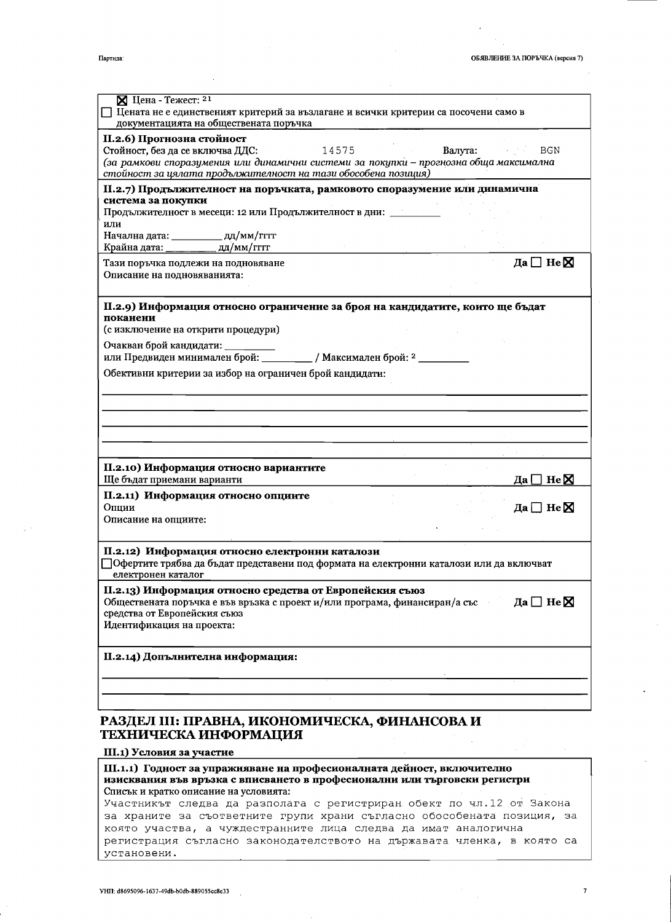| $\mathbb X$ Цена - Тежест: 21                                                                          |                                       |
|--------------------------------------------------------------------------------------------------------|---------------------------------------|
| $\fbox{ }\fbox{ }$ Цената не е единственият критерий за възлагане и всички критерии са посочени само в |                                       |
| документацията на обществената поръчка                                                                 |                                       |
| II.2.6) Прогнозна стойност                                                                             |                                       |
| Стойност, без да се включва ДДС:<br>14575                                                              | Валута:<br>BGN<br>and the first state |
| (за рамкови споразумения или динамични системи за покупки – прогнозна обща максимална                  |                                       |
| стойност за цялата продължителност на тази обособена позиция)                                          |                                       |
| II.2.7) Продължителност на поръчката, рамковото споразумение или динамична                             |                                       |
| система за покупки                                                                                     |                                       |
| Продължителност в месеци: 12 или Продължителност в дни: _______                                        |                                       |
| или                                                                                                    |                                       |
| Начална дата: ____________ дд/мм/гггг                                                                  |                                       |
| Крайна дата: дд/мм/гггг                                                                                |                                       |
| Тази поръчка подлежи на подновяване                                                                    | Да $\square$ Не $\square$             |
| Описание на подновяванията:                                                                            |                                       |
|                                                                                                        |                                       |
| П.2.9) Информация относно ограничение за броя на кандидатите, които ще бъдат                           |                                       |
| поканени                                                                                               |                                       |
| (с изключение на открити процедури)                                                                    |                                       |
|                                                                                                        |                                       |
|                                                                                                        |                                       |
|                                                                                                        |                                       |
| Обективни критерии за избор на ограничен брой кандидати:                                               |                                       |
|                                                                                                        |                                       |
|                                                                                                        |                                       |
|                                                                                                        |                                       |
|                                                                                                        |                                       |
|                                                                                                        |                                       |
|                                                                                                        |                                       |
| II.2.10) Информация относно вариантите                                                                 |                                       |
| Ще бъдат приемани варианти                                                                             | $\Box$ He $\boxtimes$<br>Дa l         |
| II.2.11) Информация относно опциите                                                                    |                                       |
| Опции                                                                                                  | Да $\square$ Не $\square$             |
| Описание на опциите:                                                                                   |                                       |
|                                                                                                        |                                       |
| П.2.12) Информация относно електронни каталози                                                         |                                       |
| Офертите трябва да бъдат представени под формата на електронни каталози или да включват                |                                       |
| електронен каталог                                                                                     |                                       |
| II.2.13) Информация относно средства от Европейския съюз                                               |                                       |
| Обществената поръчка е във връзка с проект и/или програма, финансиран/а със                            | Да $\square$ Не $\square$             |
| средства от Европейския съюз                                                                           |                                       |
| Идентификация на проекта:                                                                              |                                       |
|                                                                                                        |                                       |
|                                                                                                        |                                       |
|                                                                                                        |                                       |
| II.2.14) Допълнителна информация:                                                                      |                                       |
|                                                                                                        |                                       |
|                                                                                                        |                                       |
|                                                                                                        |                                       |
|                                                                                                        |                                       |
| РАЗДЕЛ III: ПРАВНА, ИКОНОМИЧЕСКА, ФИНАНСОВА И                                                          |                                       |
| ТЕХНИЧЕСКА ИНФОРМАЦИЯ                                                                                  |                                       |
| III.1) Условия за участие                                                                              |                                       |

изисквания във връзка с вписването в професионални или търговски регистри Списък и кратко описание на условията:

Участникът следва да разполага с регистриран обект по чл.12 от Закона за храните за съответните групи храни съгласно обособената позиция, за която участва, а чуждестранните лица следва да имат аналогична регистрация съгласно законодателството на държавата членка, в която са установени.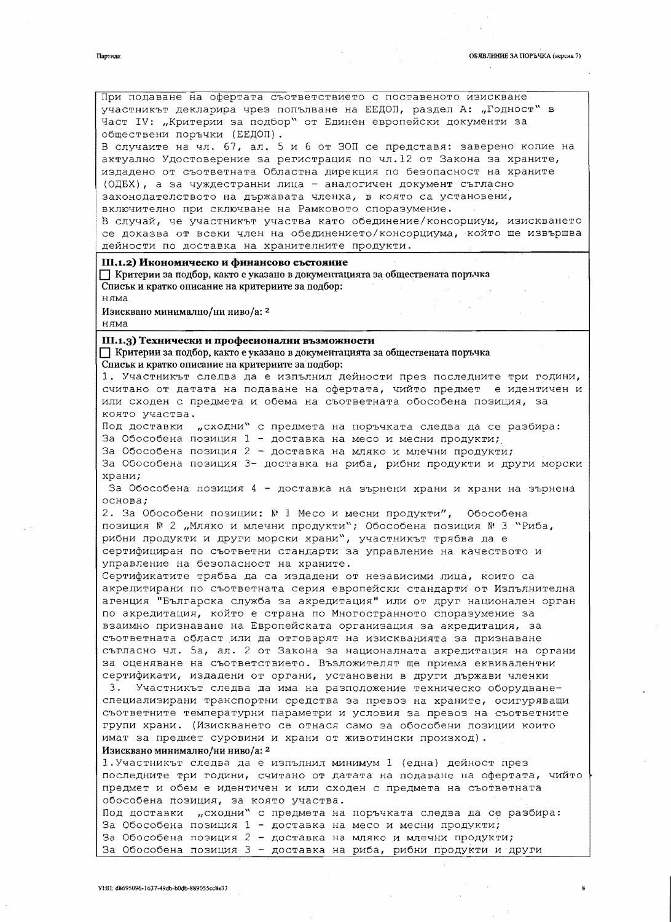обществени поръчки (ЕЕДОП).

VHI1: d8695096-1637-49db-b0db-889055cc8e33

В случаите на чл. 67, ал. 5 и 6 от ЗОП се представя: заверено копие на актуално Удостоверение за регистрация по чл.12 от Закона за храните, издадено от съответната Областна дирекция по безопасност на храните (ОДБХ), а за чуждестранни лица - аналогичен документ съгласно законодателството на държавата членка, в която са установени, включително при сключване на Рамковото споразумение. В случай, че участникът участва като обединение/консорциум, изискването се доказва от всеки член на обединението/консорциума, който ще извършва дейности по доставка на хранителните продукти. III.1.2) Икономическо и финансово състояние Критерии за подбор, както е указано в документацията за обществената поръчка Списьк и кратко описание на критериите за подбор: няма Изисквано минимално/ни ниво/а: 2 няма III.1.3) Технически и професионални възможности Критерии за подбор, както е указано в документацията за обществената поръчка Списьк и кратко описание на критериите за подбор: 1. Участникът следва да е изпълнил дейности през последните три години, считано от датата на подаване на офертата, чийто предмет е идентичен и или сходен с предмета и обема на съответната обособена позиция, за която участва. Под доставки "сходни" с предмета на поръчката следва да се разбира: За Обособена позиция 1 - доставка на месо и месни продукти; За Обособена позиция 2 - доставка на мляко и млечни продукти; За Обособена позиция 3- доставка на риба, рибни продукти и други морски храни; За Обособена позиция 4 - доставка на зърнени храни и храни на зърнена основа; 2. За Обособени позиции: № 1 Месо и месни продукти", Обособена позиция № 2 "Мляко и млечни продукти"; Обособена позиция № 3 "Риба, рибни продукти и други морски храни", участникът трябва да е сертифициран по съответни стандарти за управление на качеството и управление на безопасност на храните. Сертификатите трябва да са издадени от независими лица, които са акредитирани по съответната серия европейски стандарти от Изпълнителна агенция "Българска служба за акредитация" или от друг национален орган по акредитация, който е страна по Многостранното споразумение за взаимно признаване на Европейската организация за акредитация, за съответната област или да отговарят на изискванията за признаване съгласно чл. 5а, ал. 2 от Закона за националната акредитация на органи за оценяване на съответствието. Възложителят ще приема еквивалентни сертификати, издадени от органи, установени в други държави членки 3. Участникът следва да има на разположение техническо оборудванеспециализирани транспортни средства за превоз на храните, осигуряващи съответните температурни параметри и условия за превоз на съответните групи храни. (Изискването се отнася само за обособени позиции които имат за предмет суровини и храни от животински произход). Изисквано минимално/ни ниво/а: 2 1. Участникът следва да е изпълнил минимум 1 (една) дейност през последните три години, считано от датата на подаване на офертата, чийто предмет и обем е идентичен и или сходен с предмета на съответната обособена позиция, за която участва. Под доставки "сходни" с предмета на поръчката следва да се разбира: За Обособена позиция 1 - доставка на месо и месни продукти; За Обособена позиция 2 - доставка на мляко и млечни продукти; За Обособена позиция 3 - доставка на риба, рибни продукти и други

При подаване на офертата съответствието с поставеното изискване участникът декларира чрез попълване на ЕЕДОП, раздел А: "Годност" в Част IV: "Критерии за подбор" от Единен европейски документи за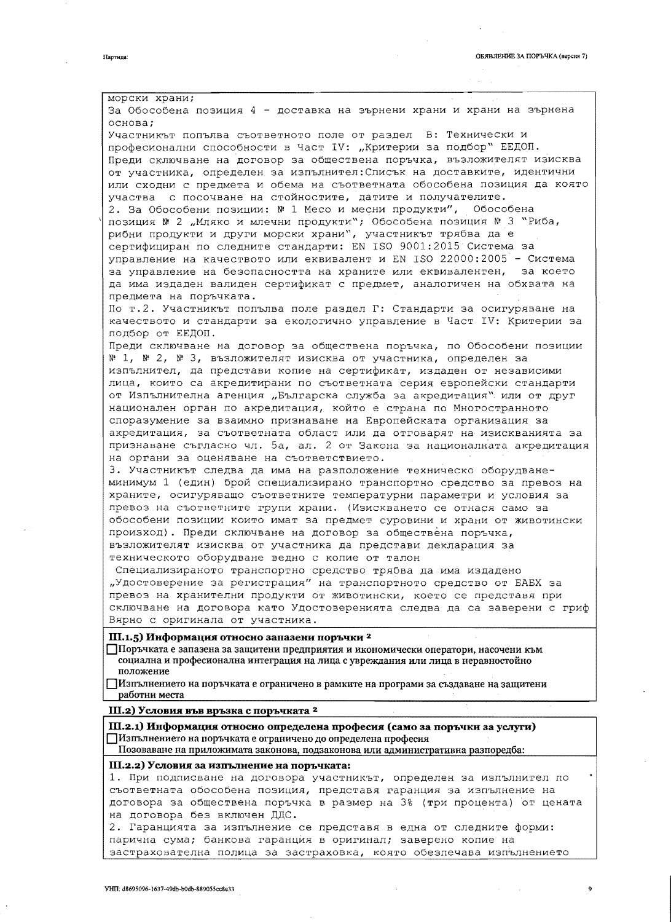морски храни; За Обособена позиция 4 - доставка на зърнени храни и храни на зърнена основа; Участникът попълва съответното поле от раздел В: Технически и професионални способности в Част IV: "Критерии за подбор" ЕЕДОП. Преди сключване на договор за обществена поръчка, възложителят изисква от участника, определен за изпълнител: Списък на доставките, идентични или сходни с предмета и обема на съответната обособена позиция да която участва с посочване на стойностите, датите и получателите. 2. За Обособени позиции: № 1 Месо и месни продукти", Обособена позиция № 2 "Мляко и млечни продукти"; Обособена позиция № 3 "Риба, рибни продукти и други морски храни", участникът трябва да е сертифициран по следните стандарти: EN ISO 9001:2015 Система за управление на качеството или еквивалент и EN ISO 22000:2005 - Система за управление на безопасността на храните или еквивалентен, за което да има издаден валиден сертификат с предмет, аналогичен на обхвата на предмета на поръчката. По т.2. Участникът попълва поле раздел Г: Стандарти за осигуряване на качеството и стандарти за екологично управление в Част IV: Критерии за подбор от ЕЕДОП. Преди сключване на договор за обществена поръчка, по Обособени позиции № 1, № 2, № 3, възложителят изисква от участника, определен за изпълнител, да представи копие на сертификат, издаден от независими лица, които са акредитирани по съответната серия европейски стандарти от Изпълнителна агенция "Българска служба за акредитация" или от друг национален орган по акредитация, който е страна по Многостранното споразумение за взаимно признаване на Европейската организация за акредитация, за съответната област или да отговарят на изискванията за признаване съгласно чл. 5а, ал. 2 от Закона за националната акредитация на органи за оценяване на съответствието. 3. Участникът следва да има на разположение техническо оборудванеминимум 1 (един) брой специализирано транспортно средство за превоз на храните, осигуряващо съответните температурни параметри и условия за превоз на съответните групи храни. (Изискването се отнася само за обособени позиции които имат за предмет суровини и храни от животински произход). Преди сключване на договор за обществена поръчка, възложителят изисква от участника да представи декларация за техническото оборудване ведно с копие от талон Специализираното транспортно средство трябва да има издадено "Удостоверение за регистрация" на транспортното средство от БАБХ за превоз на хранителни продукти от животински, което се представя при сключване на договора като Удостоверенията следва да са заверени с гриф Вярно с оригинала от участника. III.1.5) Информация относно запазени поръчки<sup>2</sup> Поръчката е запазена за защитени предприятия и икономически оператори, насочени към социална и професионална интеграция на лица с увреждания или лица в неравностойно положение Пизпълнението на поръчката е ограничено в рамките на програми за създаване на защитени работни места III.2) Условия във връзка с поръчката <sup>2</sup> III.2.1) Информация относно определена професия (само за поръчки за услуги) Изпълнението на поръчката е ограничено до определена професия Позоваване на приложимата законова, подзаконова или административна разпоредба:

#### III.2.2) Условия за изпълнение на поръчката:

1. При подписване на договора участникът, определен за изпълнител по съответната обособена позиция, представя гаранция за изпълнение на договора за обществена поръчка в размер на 3% (три процента) от цената на договора без включен ДДС.

2. Гаранцията за изпълнение се представя в една от следните форми: парична сума; банкова гаранция в оригинал; заверено копие на застрахователна полица за застраховка, която обезпечава изпълнението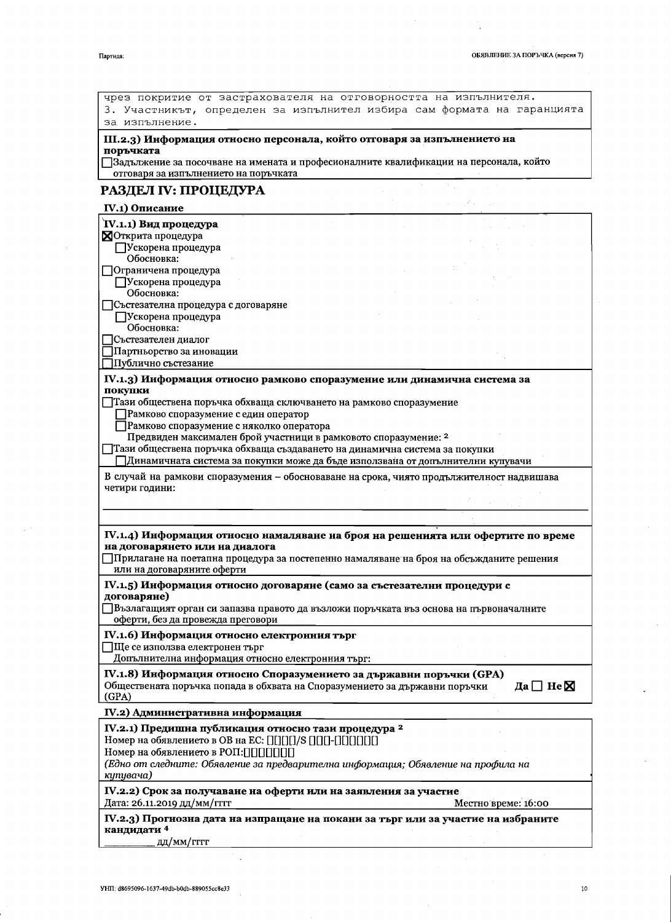$\ddot{\phantom{0}}$ 

| чрез покритие от застрахователя на отговорността на изпълнителя.<br>3. Участникът, определен за изпълнител избира сам формата на гаранцията |                           |
|---------------------------------------------------------------------------------------------------------------------------------------------|---------------------------|
| за изпълнение.                                                                                                                              |                           |
|                                                                                                                                             |                           |
| III.2.3) Информация относно персонала, който отговаря за изпълнението на<br>поръчката                                                       |                           |
| ]Задължение за посочване на имената и професионалните квалификации на персонала, който                                                      |                           |
| отговаря за изпълнението на поръчката                                                                                                       |                           |
| РАЗДЕЛ IV: ПРОЦЕДУРА                                                                                                                        |                           |
| IV.1) Описание                                                                                                                              |                           |
| IV.1.1) Вид процедура                                                                                                                       |                           |
| <b>NOTKPHTA</b> процедура                                                                                                                   |                           |
| Ускорена процедура                                                                                                                          |                           |
| Обосновка:<br>]Ограничена процедура                                                                                                         |                           |
| Ускорена процедура                                                                                                                          |                           |
| Обосновка:                                                                                                                                  |                           |
| ]Състезателна процедура с договаряне                                                                                                        |                           |
| ПУскорена процедура<br>Обосновка:                                                                                                           |                           |
| Състезателен диалог                                                                                                                         |                           |
| Партньорство за иновации                                                                                                                    |                           |
| Публично състезание                                                                                                                         |                           |
| IV.1.3) Информация относно рамково споразумение или динамична система за                                                                    |                           |
| покупки                                                                                                                                     |                           |
| Тази обществена поръчка обхваща сключването на рамково споразумение                                                                         |                           |
| Рамково споразумение с един оператор                                                                                                        |                           |
| Рамково споразумение с няколко оператора<br>Предвиден максимален брой участници в рамковото споразумение: 2                                 |                           |
| ]Тази обществена поръчка обхваща създаването на динамична система за покупки                                                                |                           |
| ]Динамичната система за покупки може да бъде използвана от допълнителни купувачи                                                            |                           |
| В случай на рамкови споразумения - обосноваване на срока, чиято продължителност надвишава                                                   |                           |
| четири години:                                                                                                                              |                           |
|                                                                                                                                             |                           |
|                                                                                                                                             |                           |
| IV.1.4) Информация относно намаляване на броя на решенията или офертите по време                                                            |                           |
| на договарянето или на диалога                                                                                                              |                           |
| ]Прилагане на поетапна процедура за постепенно намаляване на броя на обсъжданите решения                                                    |                           |
| или на договаряните оферти                                                                                                                  |                           |
| IV.1.5) Информация относно договаряне (само за състезателни процедури с                                                                     |                           |
| договаряне)<br>$\exists$ Възлагащият орган си запазва правото да възложи поръчката въз основа на първоначалните                             |                           |
| оферти, без да провежда преговори                                                                                                           |                           |
| IV.1.6) Информация относно електронния търг                                                                                                 |                           |
| ∏Ще се използва електронен търг                                                                                                             |                           |
| Допълнителна информация относно електронния търг:                                                                                           |                           |
| IV.1.8) Информация относно Споразумението за държавни поръчки (GPA)                                                                         |                           |
| Обществената поръчка попада в обхвата на Споразумението за държавни поръчки                                                                 | Да $\square$ Не $\square$ |
| (GPA)                                                                                                                                       |                           |
| IV.2) Административна информация                                                                                                            |                           |
| IV.2.1) Предишна публикация относно тази процедура <sup>2</sup>                                                                             |                           |
| Номер на обявлението в ОВ на ЕС: [][][][]/S [][][]-[][][][][]                                                                               |                           |
| Номер на обявлението в РОП: [][][][][][]                                                                                                    |                           |
| (Едно от следните: Обявление за предварителна информация; Обявление на профила на                                                           |                           |
| купувача)                                                                                                                                   |                           |
| IV.2.2) Срок за получаване на оферти или на заявления за участие                                                                            |                           |
| Дата: 26.11.2019 дд/мм/гггг                                                                                                                 | Местно време: 16:00       |
| IV.2.3) Прогнозна дата на изпращане на покани за търг или за участие на избраните                                                           |                           |
| кандидати 4<br>дд/мм/гггг                                                                                                                   |                           |
|                                                                                                                                             |                           |

 $\mathcal{P}_{\mathcal{A}}$ 

Партида:

 $\sim$ 

 $\frac{1}{2}$  .

 $\hat{\boldsymbol{\gamma}}$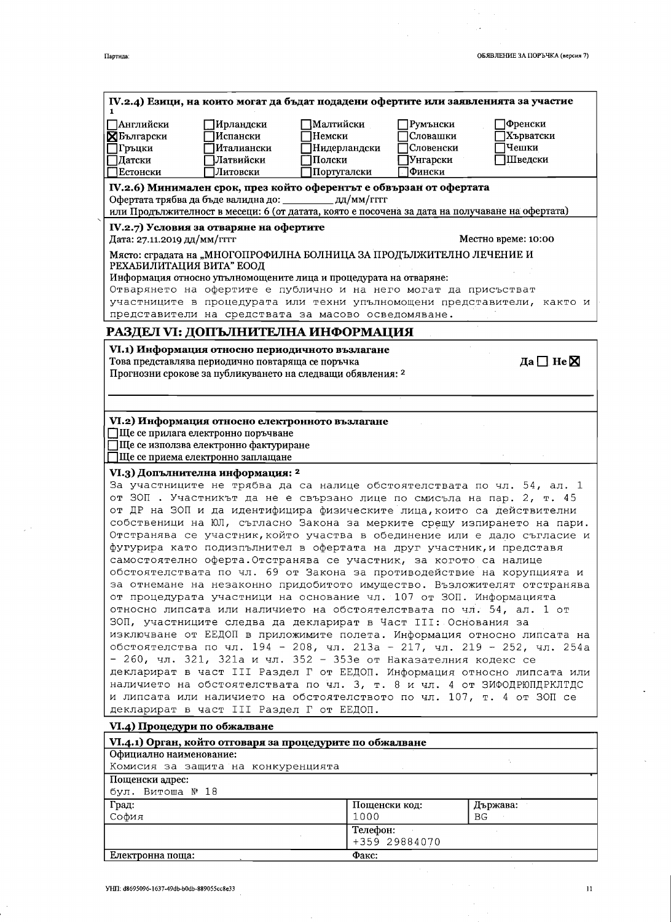| іартила |
|---------|

 $\ddot{\phantom{1}}$ 

 $\varphi^{-1}$ 

 $\ddot{\phantom{a}}$ 

|                                                                                                                                                                                                                                                                                                            |                                                                                                                                   |                       |                      | IV.2.4) Езици, на които могат да бъдат подадени офертите или заявленията за участие                                                                                                                                                                                                                                                                                                                                                                                                                                                                                                                                                                                                                                                                                                                                                                                                                                                                                                              |
|------------------------------------------------------------------------------------------------------------------------------------------------------------------------------------------------------------------------------------------------------------------------------------------------------------|-----------------------------------------------------------------------------------------------------------------------------------|-----------------------|----------------------|--------------------------------------------------------------------------------------------------------------------------------------------------------------------------------------------------------------------------------------------------------------------------------------------------------------------------------------------------------------------------------------------------------------------------------------------------------------------------------------------------------------------------------------------------------------------------------------------------------------------------------------------------------------------------------------------------------------------------------------------------------------------------------------------------------------------------------------------------------------------------------------------------------------------------------------------------------------------------------------------------|
|                                                                                                                                                                                                                                                                                                            |                                                                                                                                   |                       |                      |                                                                                                                                                                                                                                                                                                                                                                                                                                                                                                                                                                                                                                                                                                                                                                                                                                                                                                                                                                                                  |
| <b>ПАнглийски</b><br><b>Х</b> Български                                                                                                                                                                                                                                                                    | Ирландски<br>Испански                                                                                                             | ]Малтийски<br>Немски  | Румънски<br>Словашки | Френски<br>Хърватски                                                                                                                                                                                                                                                                                                                                                                                                                                                                                                                                                                                                                                                                                                                                                                                                                                                                                                                                                                             |
| 7Гръцки                                                                                                                                                                                                                                                                                                    | Италиански                                                                                                                        | Нидерландски          | Словенски            | Чешки                                                                                                                                                                                                                                                                                                                                                                                                                                                                                                                                                                                                                                                                                                                                                                                                                                                                                                                                                                                            |
| ]Датски                                                                                                                                                                                                                                                                                                    | Латвийски                                                                                                                         | Полски                | Унгарски             | Шведски                                                                                                                                                                                                                                                                                                                                                                                                                                                                                                                                                                                                                                                                                                                                                                                                                                                                                                                                                                                          |
| <b>Естонски</b>                                                                                                                                                                                                                                                                                            | Литовски                                                                                                                          | Португалски           | Фински               |                                                                                                                                                                                                                                                                                                                                                                                                                                                                                                                                                                                                                                                                                                                                                                                                                                                                                                                                                                                                  |
|                                                                                                                                                                                                                                                                                                            |                                                                                                                                   |                       |                      |                                                                                                                                                                                                                                                                                                                                                                                                                                                                                                                                                                                                                                                                                                                                                                                                                                                                                                                                                                                                  |
| IV.2.6) Минимален срок, през който оферентът е обвързан от офертата                                                                                                                                                                                                                                        |                                                                                                                                   |                       |                      |                                                                                                                                                                                                                                                                                                                                                                                                                                                                                                                                                                                                                                                                                                                                                                                                                                                                                                                                                                                                  |
| Офертата трябва да бъде валидна до: ____________ дд/мм/гггг                                                                                                                                                                                                                                                |                                                                                                                                   |                       |                      | или Продължителност в месеци: 6 (от датата, която е посочена за дата на получаване на офертата)                                                                                                                                                                                                                                                                                                                                                                                                                                                                                                                                                                                                                                                                                                                                                                                                                                                                                                  |
| IV.2.7) Условия за отваряне на офертите<br>Дата: 27.11.2019 дд/мм/гггг                                                                                                                                                                                                                                     |                                                                                                                                   |                       |                      | Местно време: 10:00                                                                                                                                                                                                                                                                                                                                                                                                                                                                                                                                                                                                                                                                                                                                                                                                                                                                                                                                                                              |
| Място: сградата на "МНОГОПРОФИЛНА БОЛНИЦА ЗА ПРОДЪЛЖИТЕЛНО ЛЕЧЕНИЕ И                                                                                                                                                                                                                                       |                                                                                                                                   |                       |                      |                                                                                                                                                                                                                                                                                                                                                                                                                                                                                                                                                                                                                                                                                                                                                                                                                                                                                                                                                                                                  |
| РЕХАБИЛИТАЦИЯ ВИТА" ЕООД                                                                                                                                                                                                                                                                                   |                                                                                                                                   |                       |                      |                                                                                                                                                                                                                                                                                                                                                                                                                                                                                                                                                                                                                                                                                                                                                                                                                                                                                                                                                                                                  |
| Информация относно упълномощените лица и процедурата на отваряне:                                                                                                                                                                                                                                          |                                                                                                                                   |                       |                      |                                                                                                                                                                                                                                                                                                                                                                                                                                                                                                                                                                                                                                                                                                                                                                                                                                                                                                                                                                                                  |
| Отварянето на офертите е публично и на него могат да присъстват                                                                                                                                                                                                                                            |                                                                                                                                   |                       |                      |                                                                                                                                                                                                                                                                                                                                                                                                                                                                                                                                                                                                                                                                                                                                                                                                                                                                                                                                                                                                  |
|                                                                                                                                                                                                                                                                                                            |                                                                                                                                   |                       |                      | участниците в процедурата или техни упълномощени представители, както и                                                                                                                                                                                                                                                                                                                                                                                                                                                                                                                                                                                                                                                                                                                                                                                                                                                                                                                          |
| представители на средствата за масово осведомяване.                                                                                                                                                                                                                                                        |                                                                                                                                   |                       |                      |                                                                                                                                                                                                                                                                                                                                                                                                                                                                                                                                                                                                                                                                                                                                                                                                                                                                                                                                                                                                  |
| РАЗДЕЛ VI: ДОПЪЛНИТЕЛНА ИНФОРМАЦИЯ                                                                                                                                                                                                                                                                         |                                                                                                                                   |                       |                      |                                                                                                                                                                                                                                                                                                                                                                                                                                                                                                                                                                                                                                                                                                                                                                                                                                                                                                                                                                                                  |
| VI.1) Информация относно периодичното възлагане                                                                                                                                                                                                                                                            |                                                                                                                                   |                       |                      |                                                                                                                                                                                                                                                                                                                                                                                                                                                                                                                                                                                                                                                                                                                                                                                                                                                                                                                                                                                                  |
| Това представлява периодично повтаряща се поръчка                                                                                                                                                                                                                                                          |                                                                                                                                   |                       |                      | Да $\Box$ Не $\boxtimes$                                                                                                                                                                                                                                                                                                                                                                                                                                                                                                                                                                                                                                                                                                                                                                                                                                                                                                                                                                         |
| Прогнозни срокове за публикуването на следващи обявления: 2                                                                                                                                                                                                                                                |                                                                                                                                   |                       |                      |                                                                                                                                                                                                                                                                                                                                                                                                                                                                                                                                                                                                                                                                                                                                                                                                                                                                                                                                                                                                  |
|                                                                                                                                                                                                                                                                                                            |                                                                                                                                   |                       |                      |                                                                                                                                                                                                                                                                                                                                                                                                                                                                                                                                                                                                                                                                                                                                                                                                                                                                                                                                                                                                  |
|                                                                                                                                                                                                                                                                                                            |                                                                                                                                   |                       |                      |                                                                                                                                                                                                                                                                                                                                                                                                                                                                                                                                                                                                                                                                                                                                                                                                                                                                                                                                                                                                  |
| VI.2) Информация относно електронното възлагане<br>ПЦе се прилага електронно поръчване                                                                                                                                                                                                                     | ]Ще се използва електронно фактуриране                                                                                            |                       |                      |                                                                                                                                                                                                                                                                                                                                                                                                                                                                                                                                                                                                                                                                                                                                                                                                                                                                                                                                                                                                  |
| ]Ще се приема електронно заплащане                                                                                                                                                                                                                                                                         |                                                                                                                                   |                       |                      |                                                                                                                                                                                                                                                                                                                                                                                                                                                                                                                                                                                                                                                                                                                                                                                                                                                                                                                                                                                                  |
| VI.3) Допълнителна информация: <sup>2</sup><br>фугурира като подизпълнител в офертата на друг участник, и представя<br>самостоятелно оферта. Отстранява се участник, за когото са налице<br>от процедурата участници на основание чл. 107 от ЗОП. Информацията<br>декларират в част III Раздел Г от ЕЕДОП. | ЗОП, участниците следва да декларират в Част III: Основания за<br>- 260, чл. 321, 321а и чл. 352 - 353е от Наказателния кодекс се |                       |                      | За участниците не трябва да са налице обстоятелствата по чл. 54, ал. 1<br>от ЗОП. Участникът да не е свързано лице по смисъла на пар. 2, т. 45<br>от ДР на ЗОП и да идентифицира физическите лица, които са действителни<br>собственици на ЮЛ, съгласно Закона за мерките срещу изпирането на пари.<br>Отстранява се участник, който участва в обединение или е дало съгласие и<br>обстоятелствата по чл. 69 от Закона за противодействие на корупцията и<br>за отнемане на незаконно придобитото имущество. Възложителят отстранява<br>относно липсата или наличието на обстоятелствата по чл. 54, ал. 1 от<br>изключване от ЕЕДОП в приложимите полета. Информация относно липсата на<br>обстоятелства по чл. 194 - 208, чл. 213а - 217, чл. 219 - 252, чл. 254а<br>декларират в част III Раздел Г от ЕЕДОП. Информация относно липсата или<br>наличието на обстоятелствата по чл. 3, т. 8 и чл. 4 от ЗИФОДРЮПДРКЛТДС<br>и липсата или наличието на обстоятелството по чл. 107, т. 4 от ЗОП се |
| VI.4) Процедури по обжалване                                                                                                                                                                                                                                                                               |                                                                                                                                   |                       |                      |                                                                                                                                                                                                                                                                                                                                                                                                                                                                                                                                                                                                                                                                                                                                                                                                                                                                                                                                                                                                  |
| VI.4.1) Орган, който отговаря за процедурите по обжалване                                                                                                                                                                                                                                                  |                                                                                                                                   |                       |                      |                                                                                                                                                                                                                                                                                                                                                                                                                                                                                                                                                                                                                                                                                                                                                                                                                                                                                                                                                                                                  |
| Официално наименование:<br>Комисия за защита на конкуренцията                                                                                                                                                                                                                                              |                                                                                                                                   |                       |                      |                                                                                                                                                                                                                                                                                                                                                                                                                                                                                                                                                                                                                                                                                                                                                                                                                                                                                                                                                                                                  |
| Пощенски адрес:                                                                                                                                                                                                                                                                                            |                                                                                                                                   |                       |                      |                                                                                                                                                                                                                                                                                                                                                                                                                                                                                                                                                                                                                                                                                                                                                                                                                                                                                                                                                                                                  |
| бул. Витоша № 18                                                                                                                                                                                                                                                                                           |                                                                                                                                   |                       |                      |                                                                                                                                                                                                                                                                                                                                                                                                                                                                                                                                                                                                                                                                                                                                                                                                                                                                                                                                                                                                  |
|                                                                                                                                                                                                                                                                                                            |                                                                                                                                   |                       |                      |                                                                                                                                                                                                                                                                                                                                                                                                                                                                                                                                                                                                                                                                                                                                                                                                                                                                                                                                                                                                  |
|                                                                                                                                                                                                                                                                                                            |                                                                                                                                   |                       |                      |                                                                                                                                                                                                                                                                                                                                                                                                                                                                                                                                                                                                                                                                                                                                                                                                                                                                                                                                                                                                  |
| Град:<br>София                                                                                                                                                                                                                                                                                             |                                                                                                                                   | Пощенски код:<br>1000 |                      | Държава:<br>BG                                                                                                                                                                                                                                                                                                                                                                                                                                                                                                                                                                                                                                                                                                                                                                                                                                                                                                                                                                                   |
|                                                                                                                                                                                                                                                                                                            |                                                                                                                                   | Телефон:              |                      |                                                                                                                                                                                                                                                                                                                                                                                                                                                                                                                                                                                                                                                                                                                                                                                                                                                                                                                                                                                                  |
| Електронна поща:                                                                                                                                                                                                                                                                                           |                                                                                                                                   | Факс:                 | +359 29884070        |                                                                                                                                                                                                                                                                                                                                                                                                                                                                                                                                                                                                                                                                                                                                                                                                                                                                                                                                                                                                  |

J.